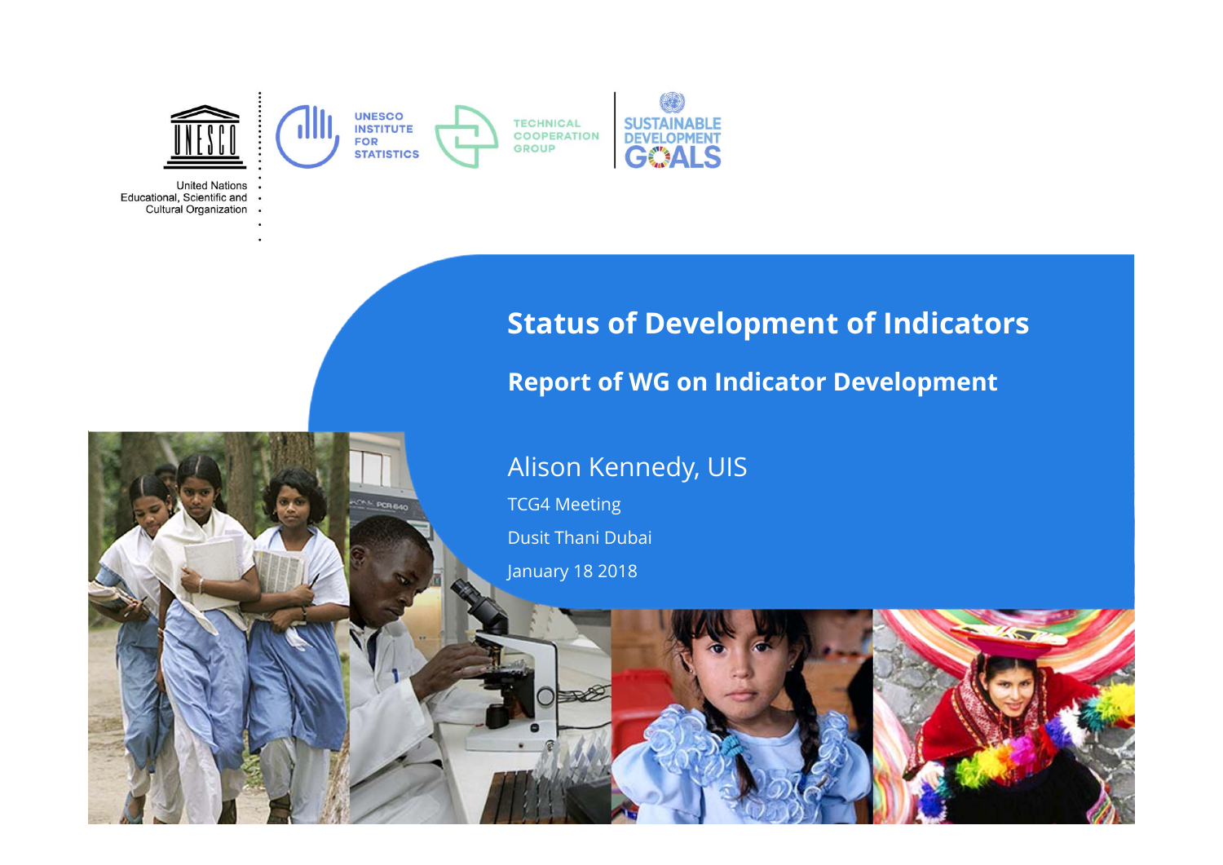

**United Nations** Educational, Scientific and . Cultural Organization .



#### **Report of WG on Indicator Development**

#### Alison Kennedy, UIS

TCG4 Meeting Dusit Thani Dubai

January 18 2018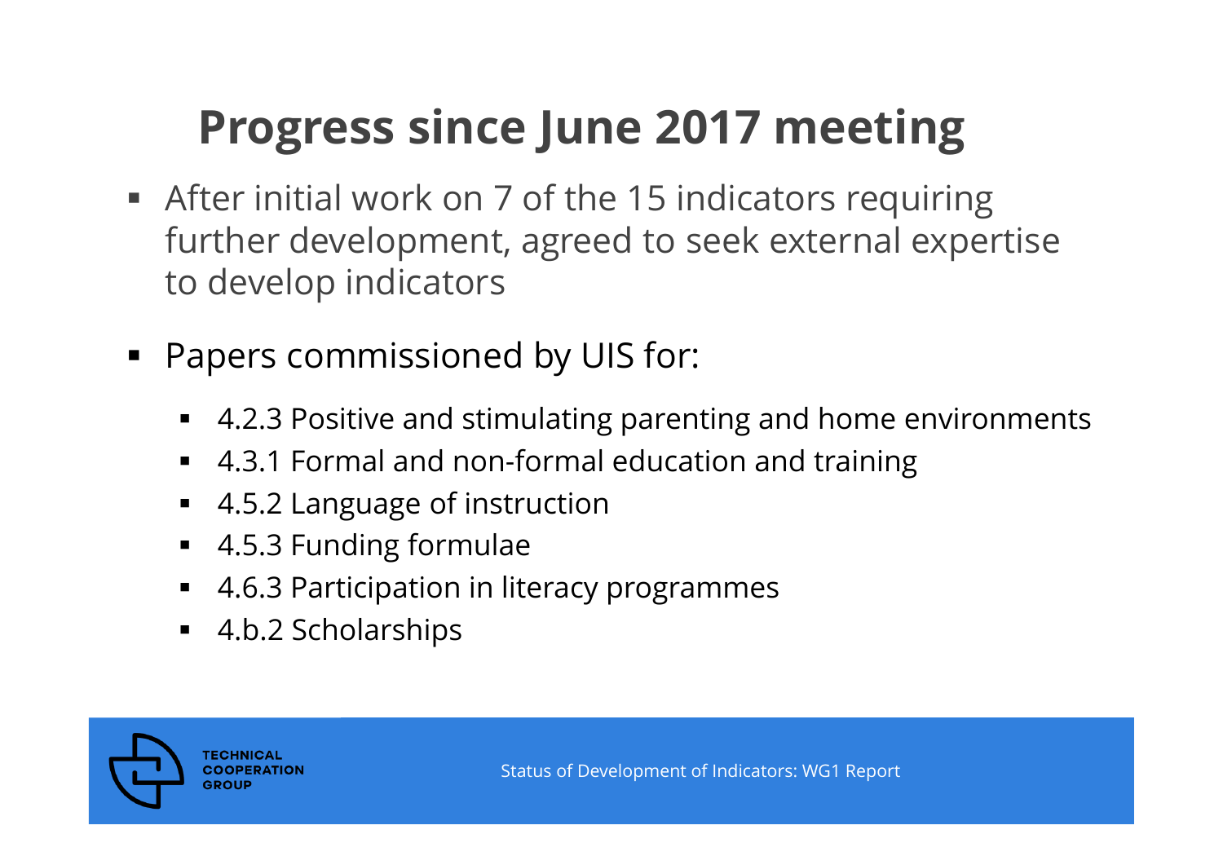## **Progress since June 2017 meeting**

- After initial work on 7 of the 15 indicators requiring further development, agreed to seek external expertise to develop indicators
- $\blacksquare$  Papers commissioned by UIS for:
	- 4.2.3 Positive and stimulating parenting and home environments
	- 4.3.1 Formal and non-formal education and training
	- 4.5.2 Language of instruction
	- 4.5.3 Funding formulae
	- 4.6.3 Participation in literacy programmes
	- 4.b.2 Scholarships

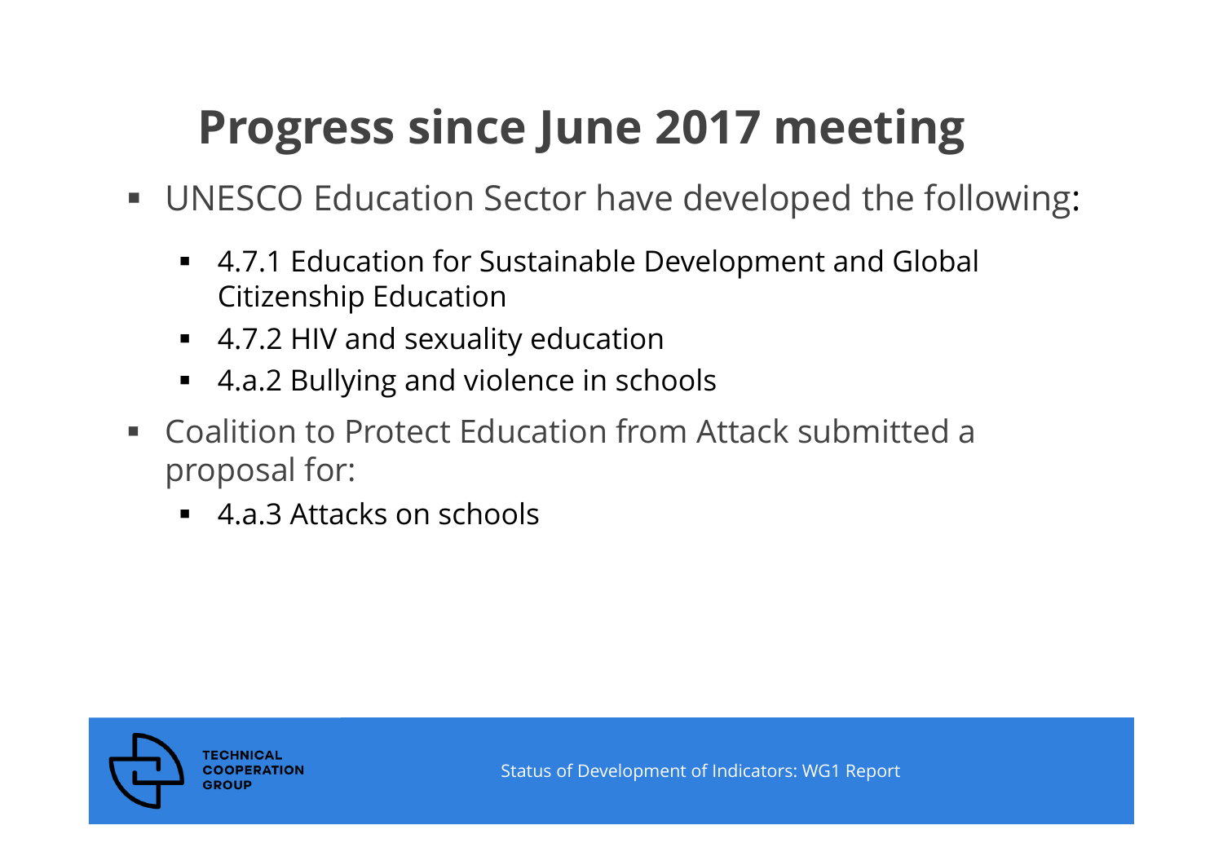# **Progress since June 2017 meeting**

- UNESCO Education Sector have developed the following:
	- 4.7.1 Education for Sustainable Development and Global Citizenship Education
	- 4.7.2 HIV and sexuality education
	- 4.a.2 Bullying and violence in schools
- Coalition to Protect Education from Attack submitted a proposal for:
	- 4.a.3 Attacks on schools

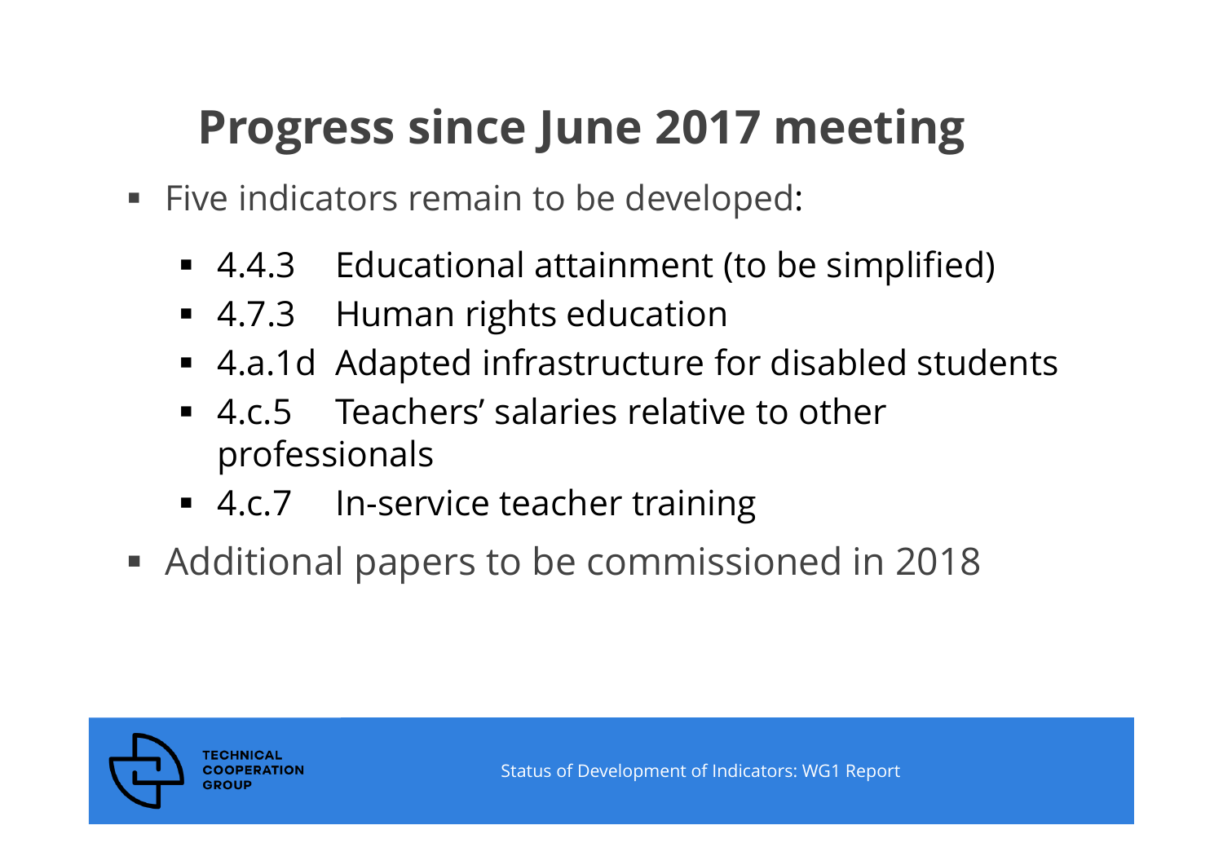## **Progress since June 2017 meeting**

- **Five indicators remain to be developed:** 
	- 4.4.3 Educational attainment (to be simplified)
	- 4.7.3 Human rights education
	- 4.a.1d Adapted infrastructure for disabled students
	- 4.c.5 Teachers' salaries relative to other professionals
	- 4.c.7 In-service teacher training
- Additional papers to be commissioned in 2018

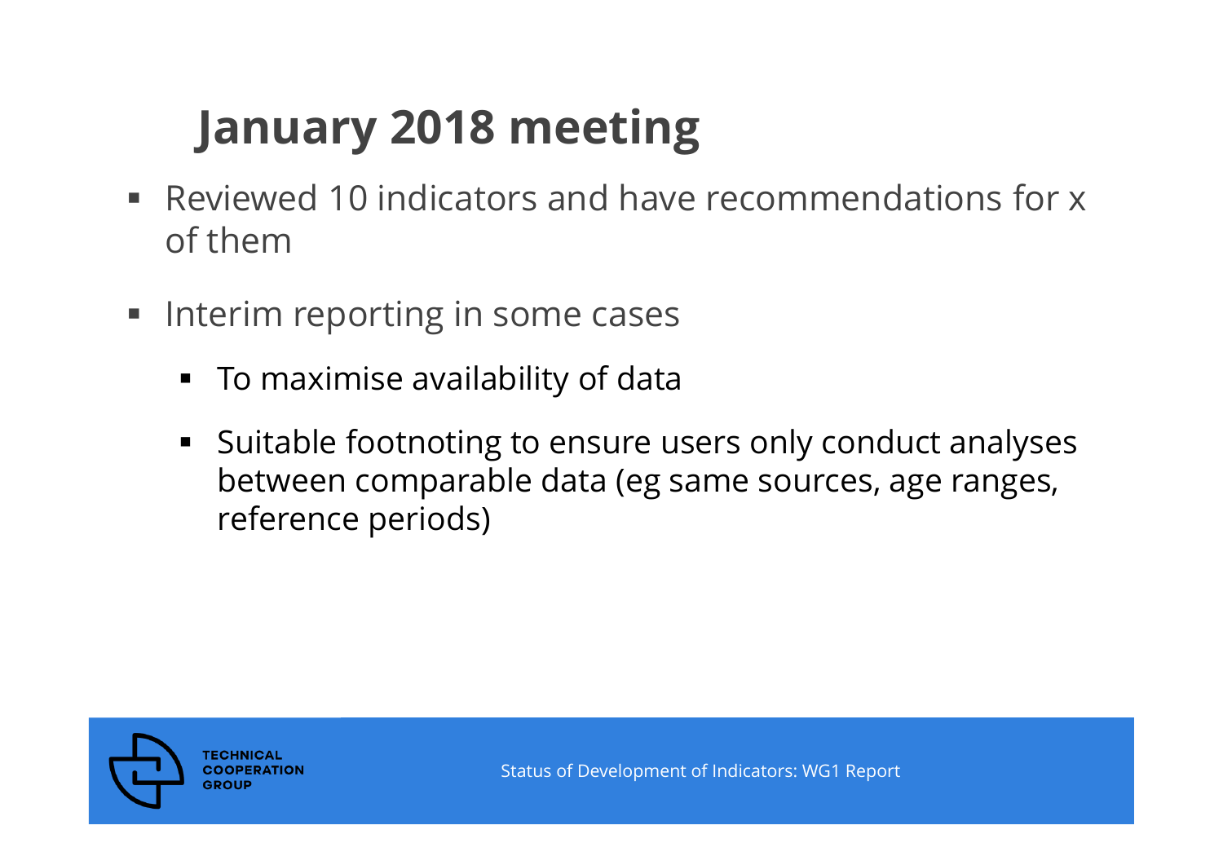# **January 2018 meeting**

- Reviewed 10 indicators and have recommendations for x of them
- **Interim reporting in some cases** 
	- To maximise availability of data
	- Suitable footnoting to ensure users only conduct analyses between comparable data (eg same sources, age ranges, reference periods)

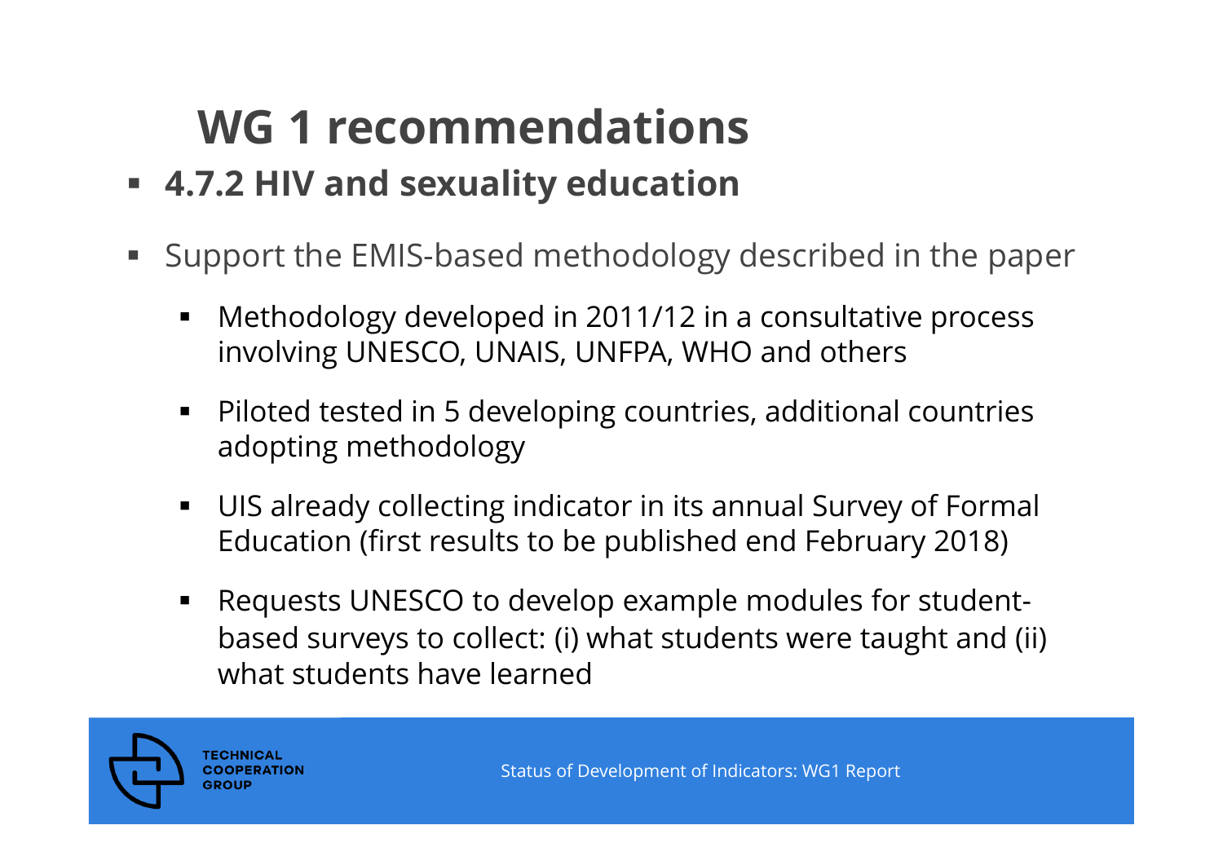- **4.7.2 HIV and sexuality education**
- $\blacksquare$  Support the EMIS-based methodology described in the paper
	- П Methodology developed in 2011/12 in a consultative process involving UNESCO, UNAIS, UNFPA, WHO and others
	- Piloted tested in 5 developing countries, additional countries adopting methodology
	- $\blacksquare$  UIS already collecting indicator in its annual Survey of Formal Education (first results to be published end February 2018)
	- Requests UNESCO to develop example modules for studentbased surveys to collect: (i) what students were taught and (ii) what students have learned

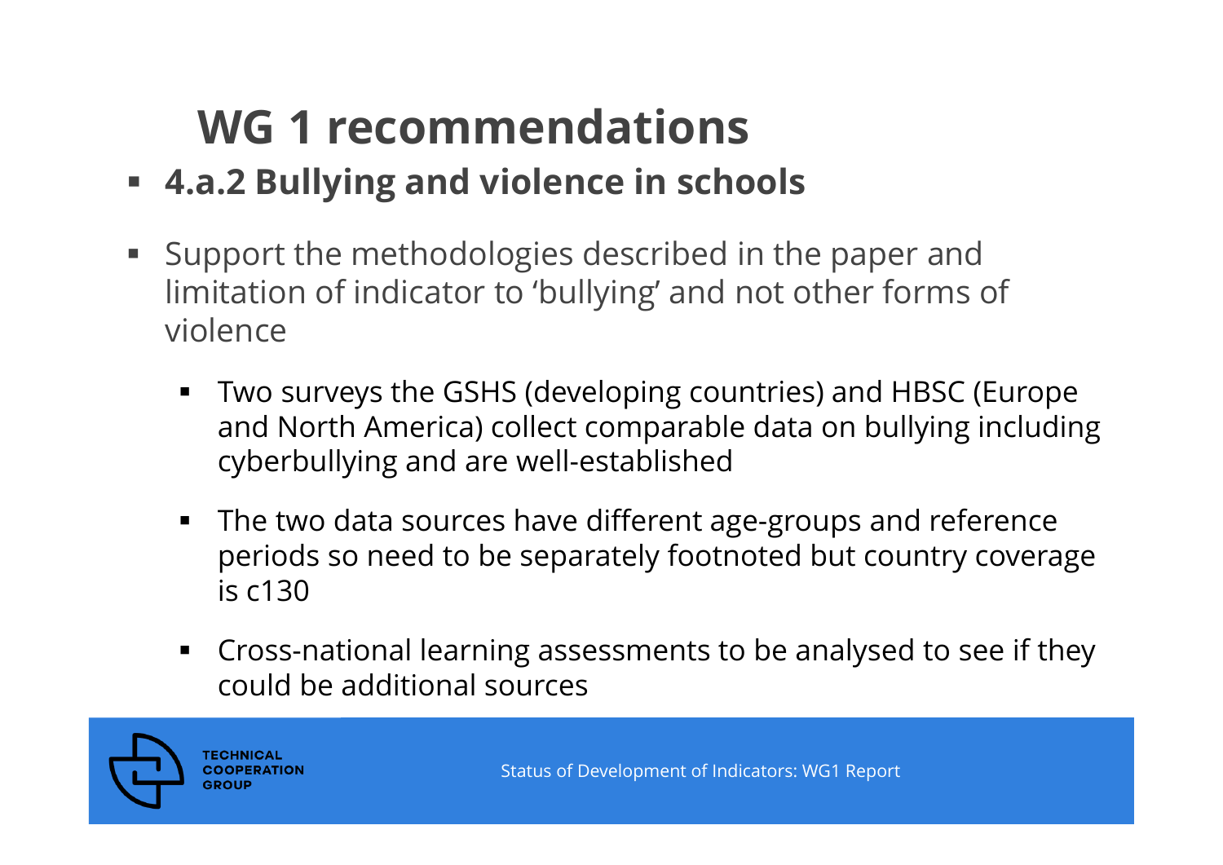- **4.a.2 Bullying and violence in schools**
- $\blacksquare$  . Support the methodologies described in the paper and limitation of indicator to 'bullying' and not other forms of violence
	- П Two surveys the GSHS (developing countries) and HBSC (Europe and North America) collect comparable data on bullying including cyberbullying and are well-established
	- The two data sources have different age-groups and reference periods so need to be separately footnoted but country coverage is c130
	- Cross-national learning assessments to be analysed to see if they could be additional sources

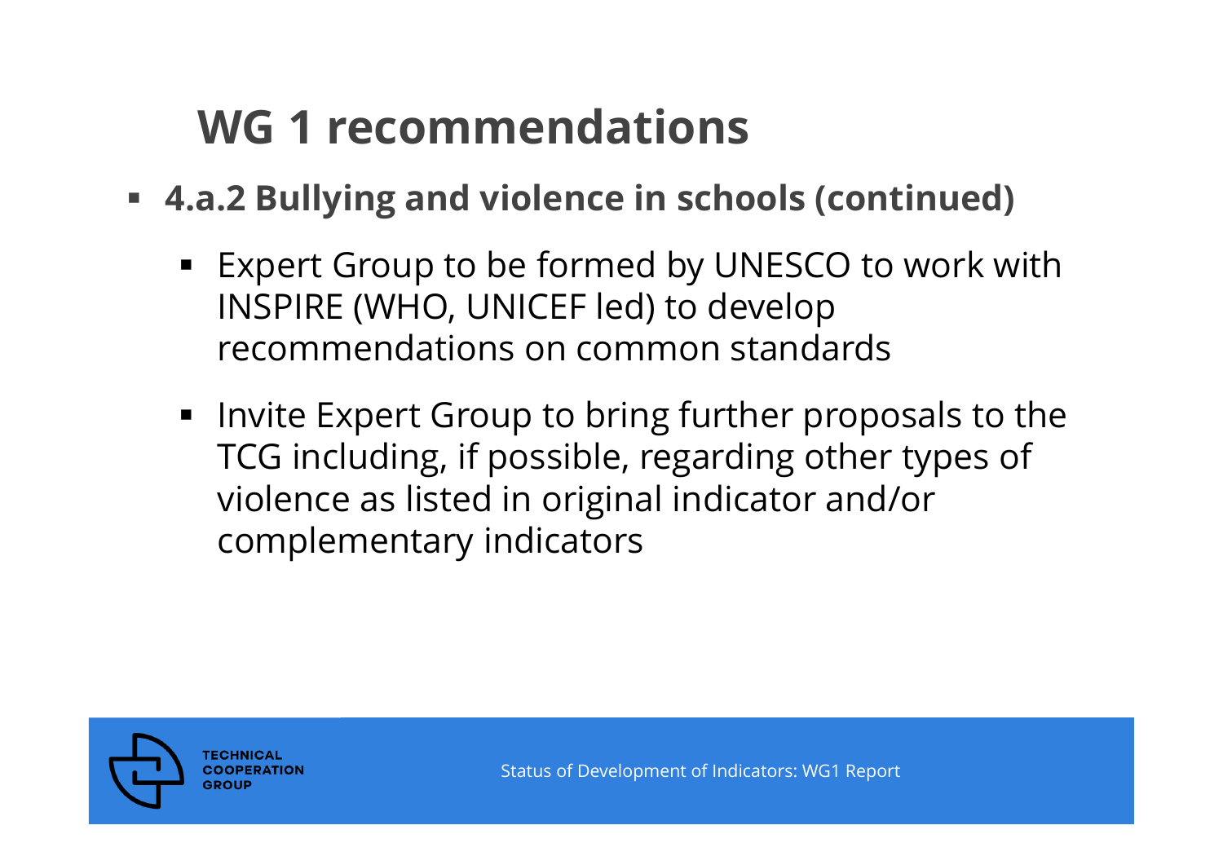- **4.a.2 Bullying and violence in schools (continued)**
	- Expert Group to be formed by UNESCO to work with INSPIRE (WHO, UNICEF led) to develop recommendations on common standards
	- **Invite Expert Group to bring further proposals to the** TCG including, if possible, regarding other types of violence as listed in original indicator and/or complementary indicators

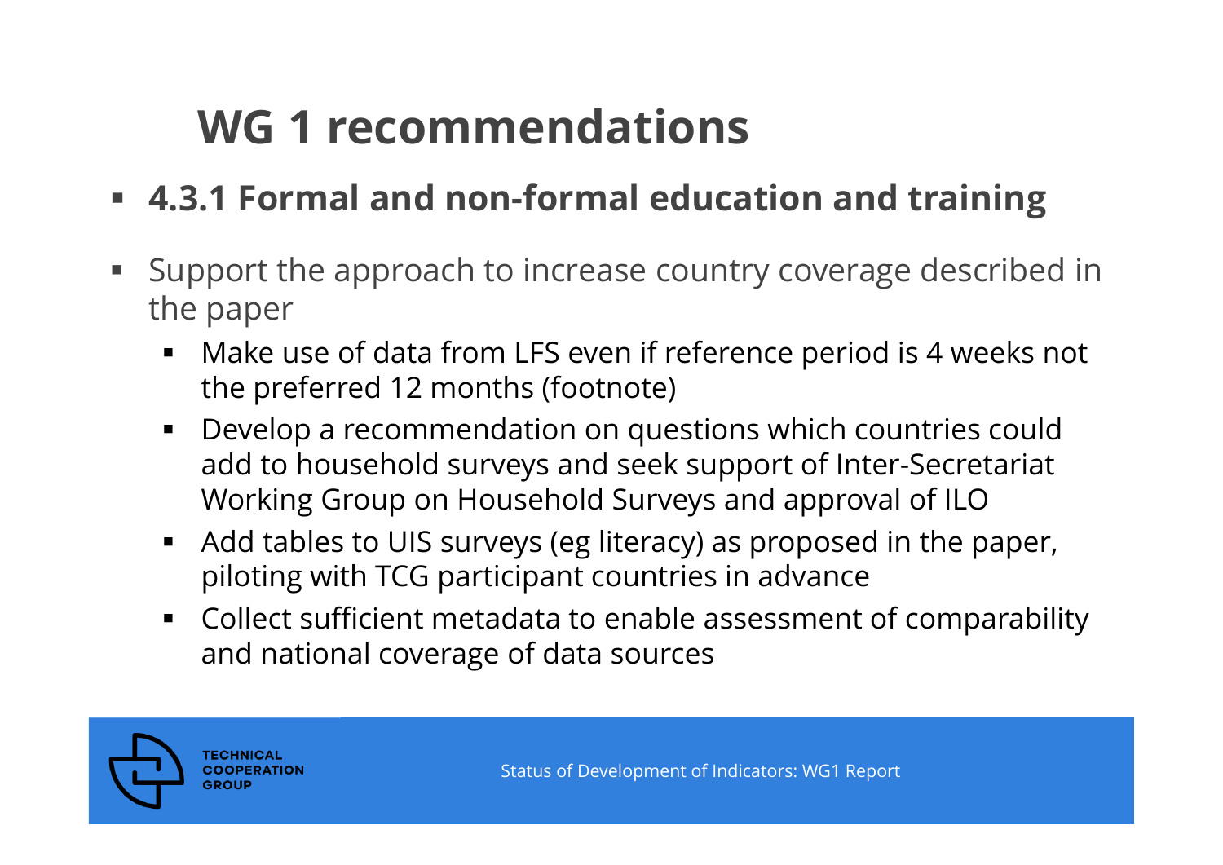- **4.3.1 Formal and non-formal education and training**
- Support the approach to increase country coverage described in the paper
	- Make use of data from LFS even if reference period is 4 weeks not the preferred 12 months (footnote)
	- ٠ Develop a recommendation on questions which countries could add to household surveys and seek support of Inter-Secretariat Working Group on Household Surveys and approval of ILO
	- $\blacksquare$  Add tables to UIS surveys (eg literacy) as proposed in the paper, piloting with TCG participant countries in advance
	- Collect sufficient metadata to enable assessment of comparability and national coverage of data sources

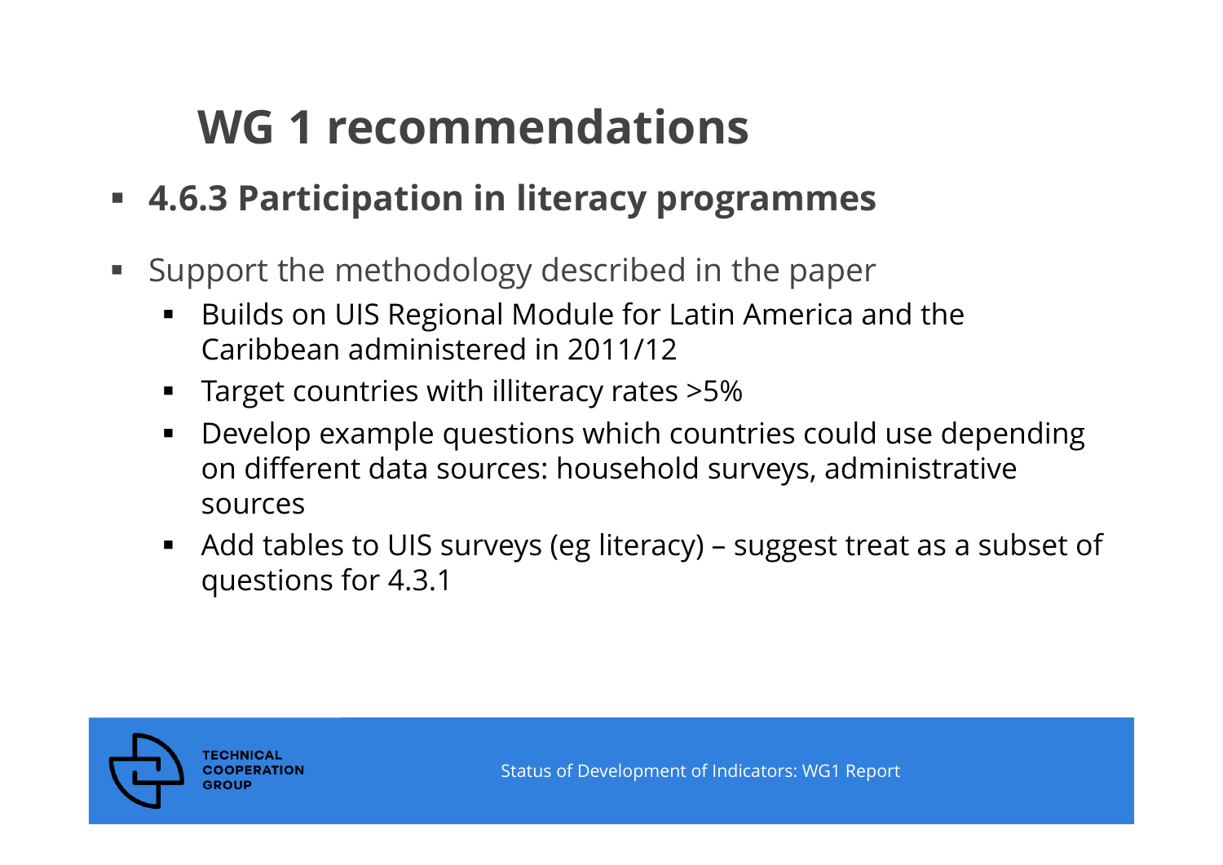- **4.6.3 Participation in literacy programmes**
- Support the methodology described in the paper
	- ٠ Builds on UIS Regional Module for Latin America and the Caribbean administered in 2011/12
	- ٠ Target countries with illiteracy rates >5%
	- ٠ Develop example questions which countries could use depending on different data sources: household surveys, administrative sources
	- $\blacksquare$  Add tables to UIS surveys (eg literacy) – suggest treat as a subset of questions for 4.3.1

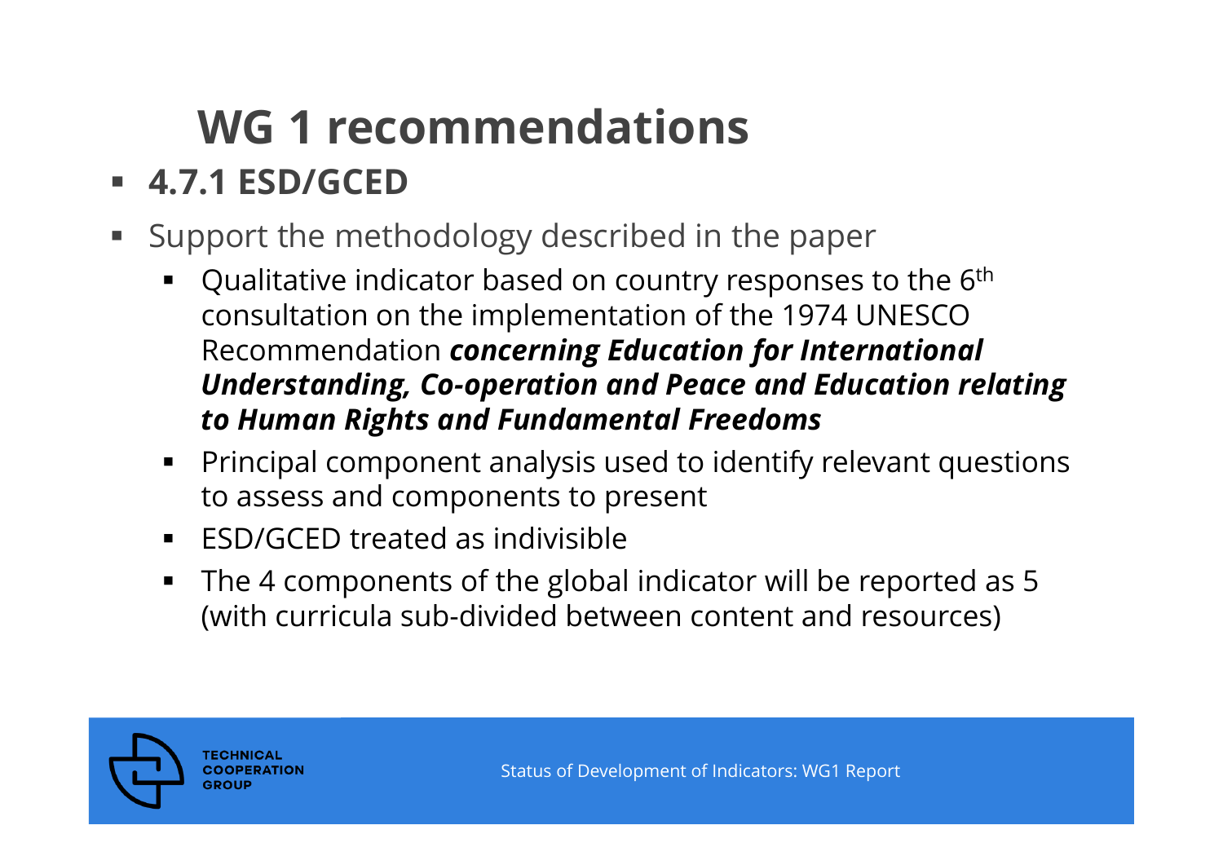### **4.7.1 ESD/GCED**

- Support the methodology described in the paper
	- $\textcolor{black}{\bullet}$  Qualitative indicator based on country responses to the 6th consultation on the implementation of the 1974 UNESCO Recommendation *concerning Education for International Understanding, Co-operation and Peace and Education relating to Human Rights and Fundamental Freedoms*
	- $\blacksquare$  Principal component analysis used to identify relevant questions to assess and components to present
	- ٠ ESD/GCED treated as indivisible
	- ٠ The 4 components of the global indicator will be reported as 5 (with curricula sub-divided between content and resources)

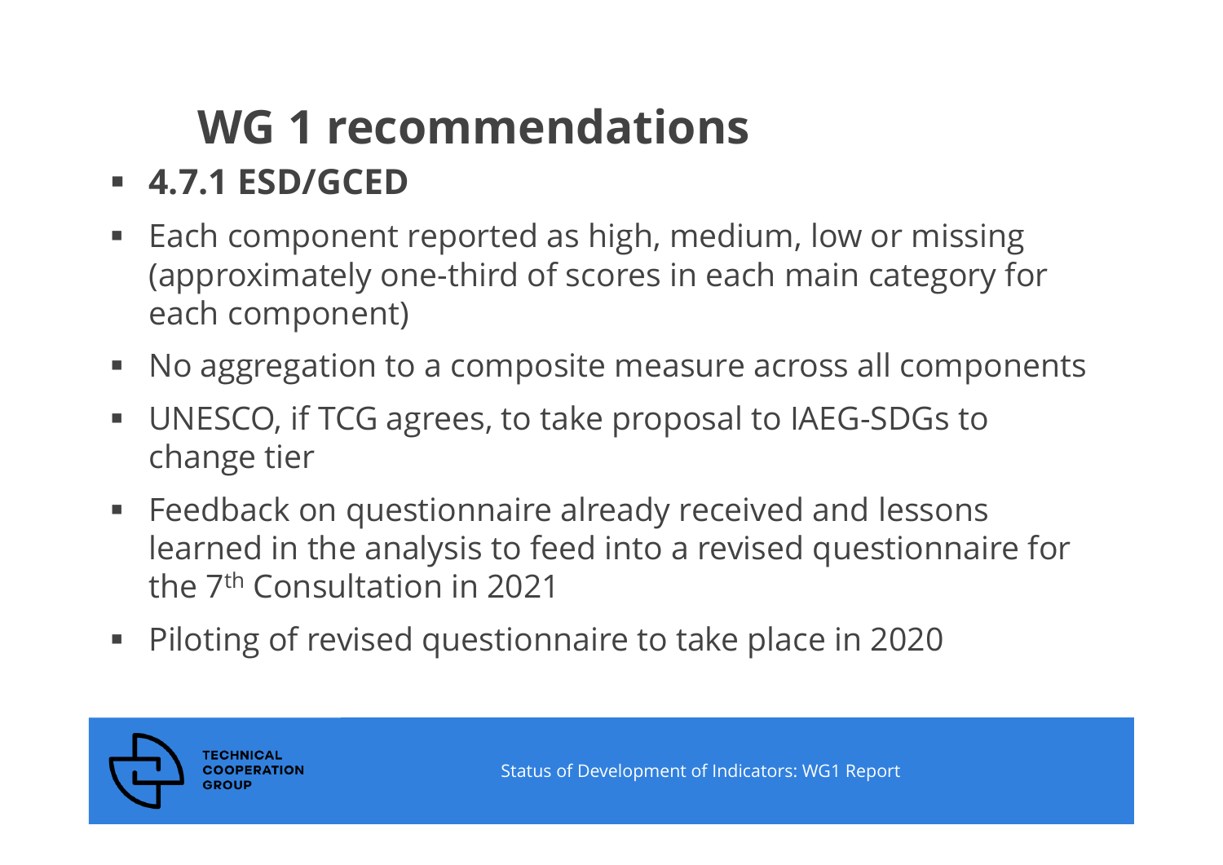### **4.7.1 ESD/GCED**

- Each component reported as high, medium, low or missing (approximately one-third of scores in each main category for each component)
- No aggregation to a composite measure across all components
- UNESCO, if TCG agrees, to take proposal to IAEG-SDGs to change tier
- **Feedback on questionnaire already received and lessons** learned in the analysis to feed into a revised questionnaire for the 7th Consultation in 2021
- Piloting of revised questionnaire to take place in 2020

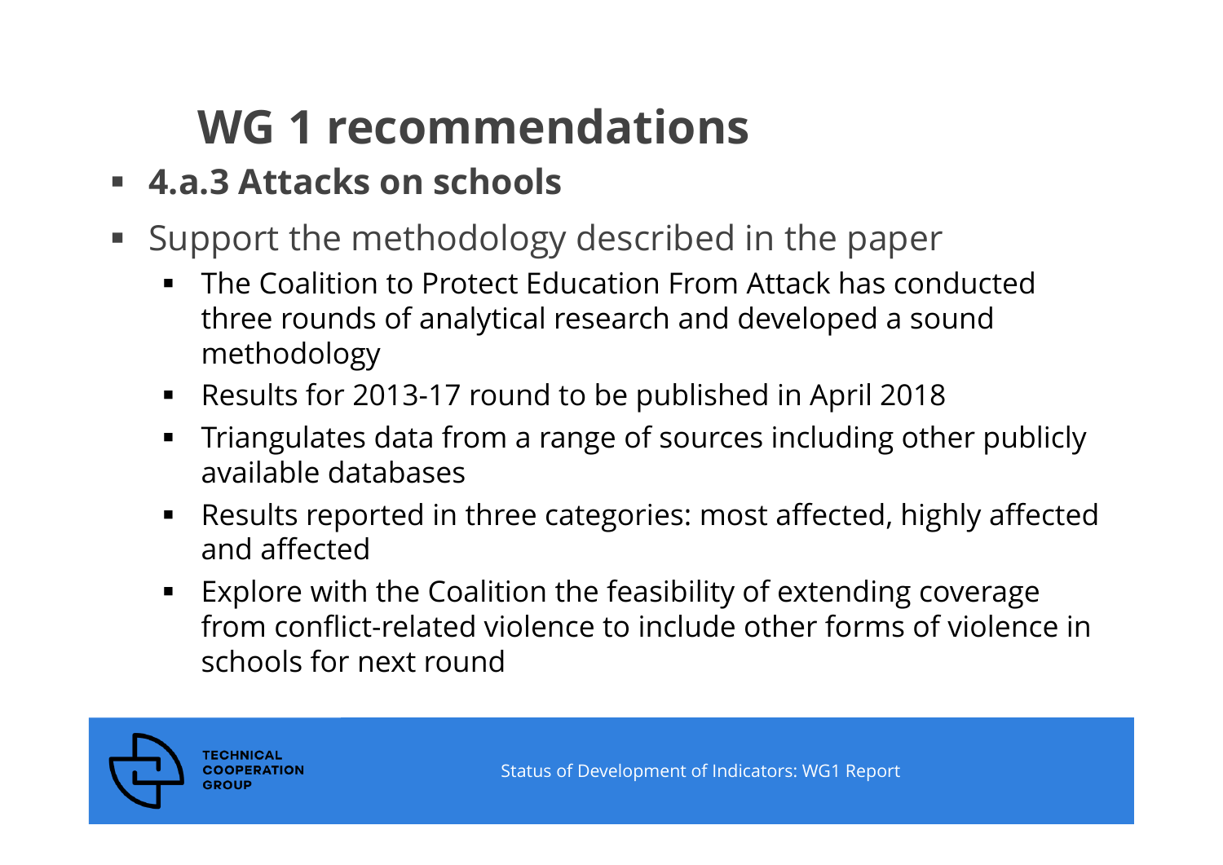### **4.a.3 Attacks on schools**

- Support the methodology described in the paper
	- ٠ The Coalition to Protect Education From Attack has conducted three rounds of analytical research and developed a sound methodology
	- Results for 2013-17 round to be published in April 2018
	- ٠ Triangulates data from a range of sources including other publicly available databases
	- ٠ Results reported in three categories: most affected, highly affected and affected
	- ۰ Explore with the Coalition the feasibility of extending coverage from conflict-related violence to include other forms of violence in schools for next round

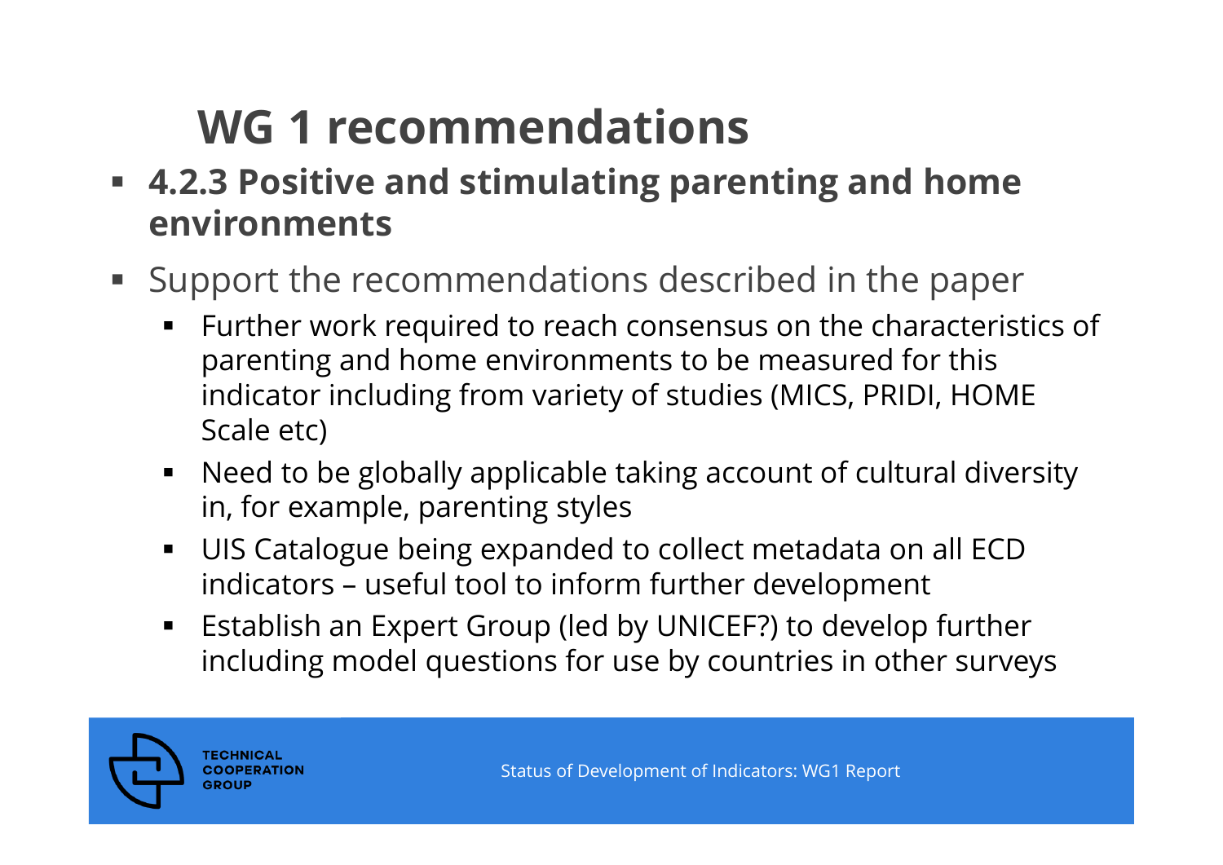- **4.2.3 Positive and stimulating parenting and home environments**
- Support the recommendations described in the paper
	- $\blacksquare$  Further work required to reach consensus on the characteristics of parenting and home environments to be measured for this indicator including from variety of studies (MICS, PRIDI, HOME Scale etc)
	- ٠ Need to be globally applicable taking account of cultural diversity in, for example, parenting styles
	- $\blacksquare$  UIS Catalogue being expanded to collect metadata on all ECD indicators – useful tool to inform further development
	- $\blacksquare$  Establish an Expert Group (led by UNICEF?) to develop further including model questions for use by countries in other surveys

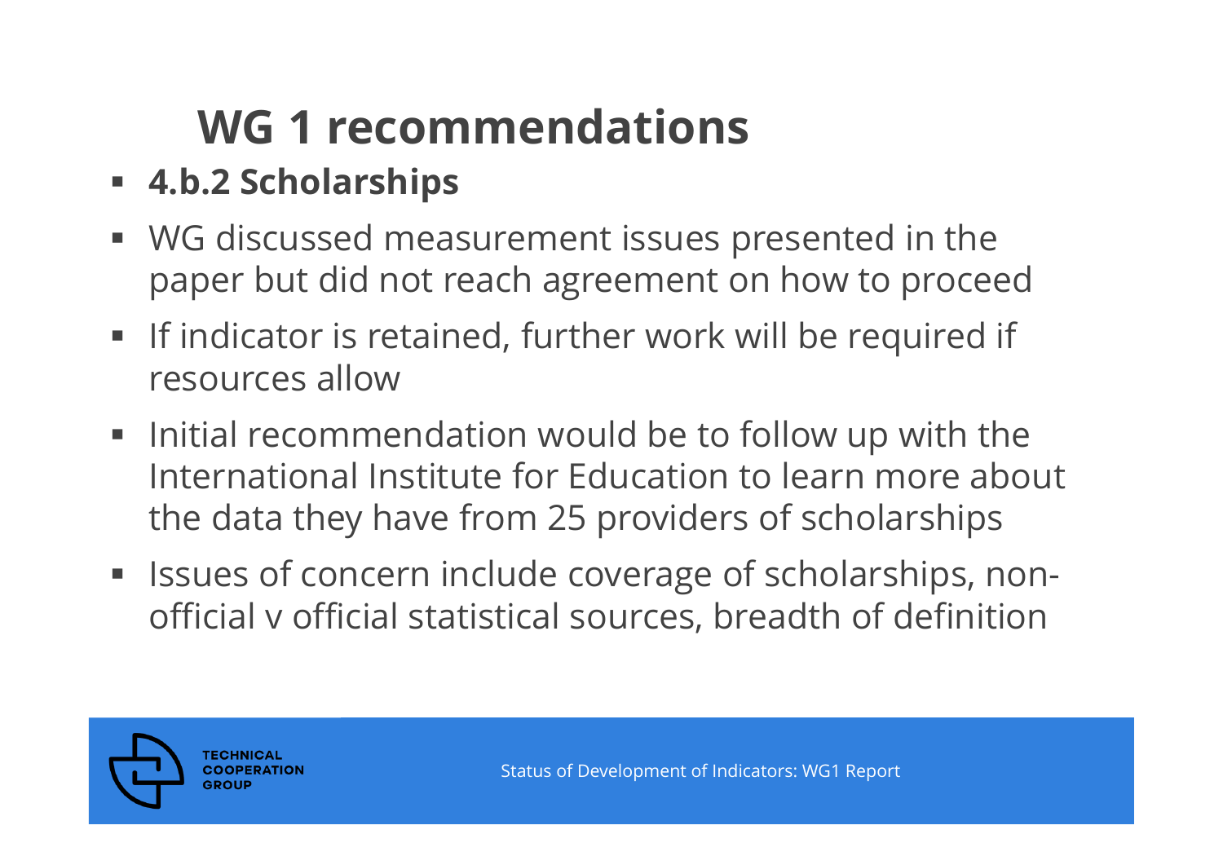- **4.b.2 Scholarships**
- WG discussed measurement issues presented in the paper but did not reach agreement on how to proceed
- **If indicator is retained, further work will be required if** resources allow
- $\blacksquare$  Initial recommendation would be to follow up with the International Institute for Education to learn more about the data they have from 25 providers of scholarships
- **ISSUES of concern include coverage of scholarships, non**official v official statistical sources, breadth of definition

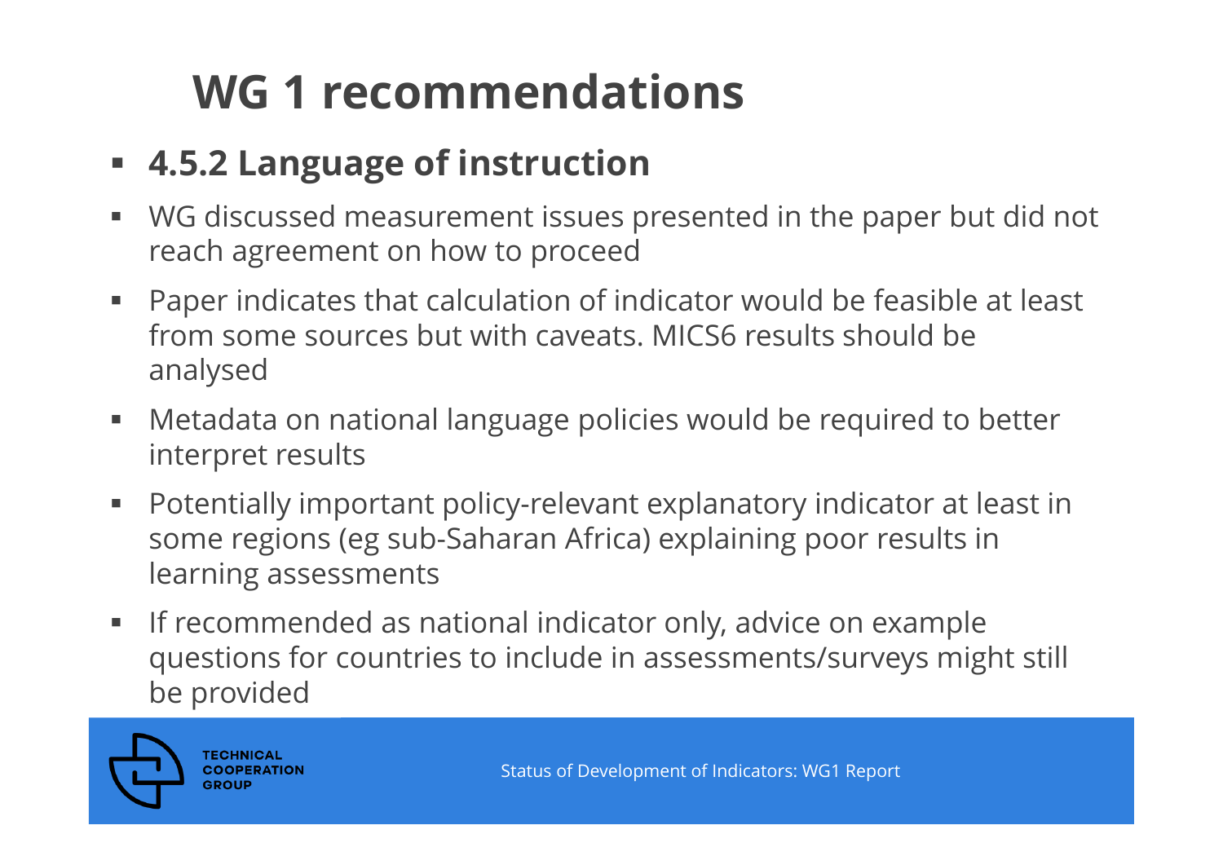### **4.5.2 Language of instruction**

- WG discussed measurement issues presented in the paper but did not reach agreement on how to proceed
- $\blacksquare$  Paper indicates that calculation of indicator would be feasible at least from some sources but with caveats. MICS6 results should be analysed
- $\blacksquare$  . Metadata on national language policies would be required to better interpret results
- $\blacksquare$  Potentially important policy-relevant explanatory indicator at least in some regions (eg sub-Saharan Africa) explaining poor results in learning assessments
- $\Box$  If recommended as national indicator only, advice on example questions for countries to include in assessments/surveys might still be provided

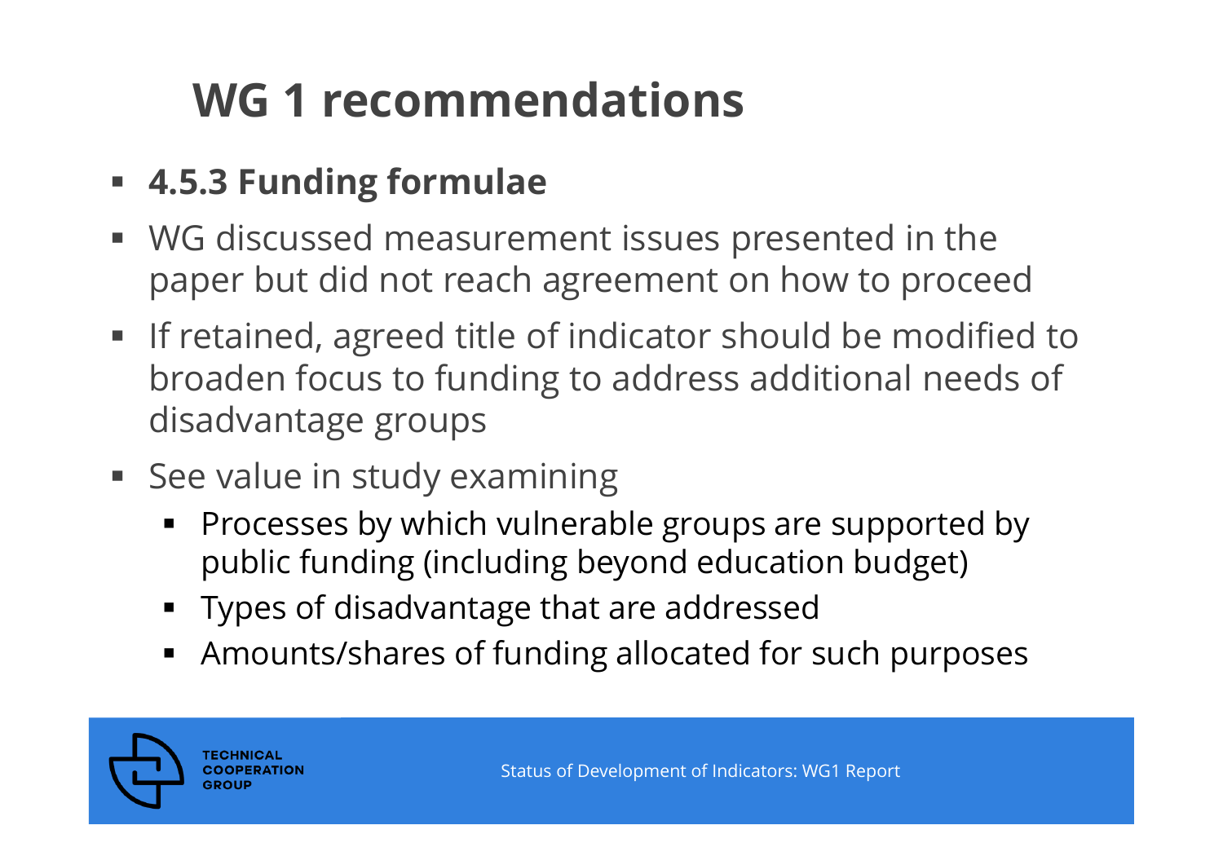- **4.5.3 Funding formulae**
- WG discussed measurement issues presented in the paper but did not reach agreement on how to proceed
- **If retained, agreed title of indicator should be modified to** broaden focus to funding to address additional needs of disadvantage groups
- **See value in study examining** 
	- **Processes by which vulnerable groups are supported by** public funding (including beyond education budget)
	- Types of disadvantage that are addressed
	- Amounts/shares of funding allocated for such purposes